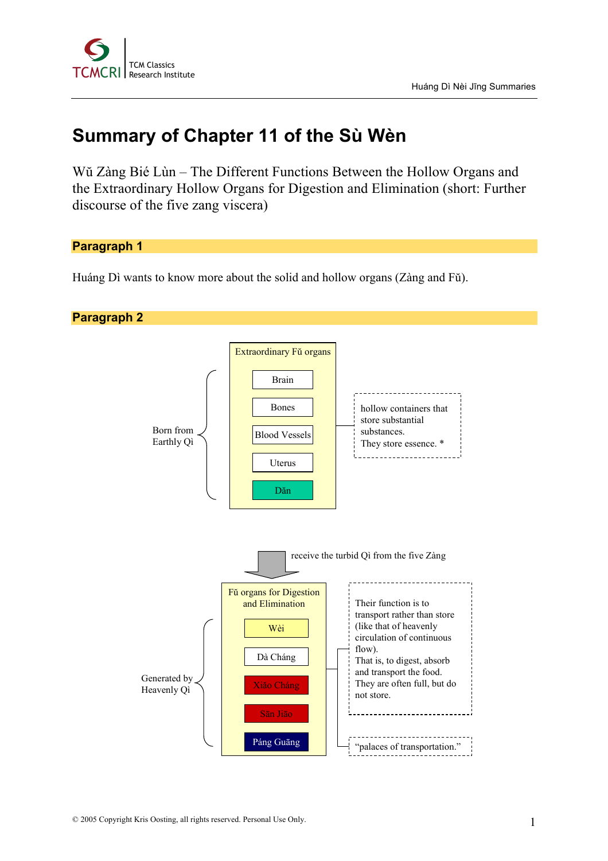

# **Summary of Chapter 11 of the Sù Wèn**

Wŭ Zàng Bié Lùn – The Different Functions Between the Hollow Organs and the Extraordinary Hollow Organs for Digestion and Elimination (short: Further discourse of the five zang viscera)

**Paragraph 1**

Huáng Dì wants to know more about the solid and hollow organs (Zàng and Fŭ).

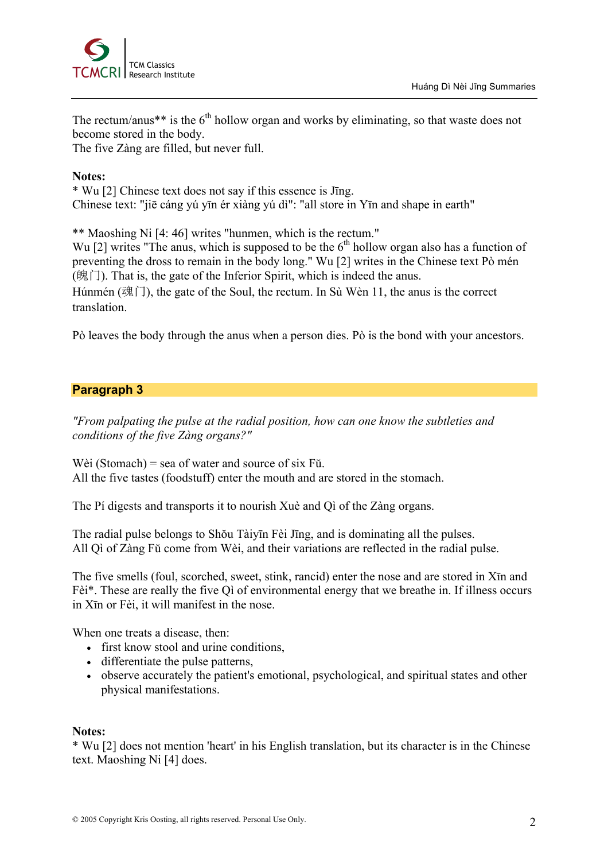

The rectum/anus\*\* is the  $6<sup>th</sup>$  hollow organ and works by eliminating, so that waste does not become stored in the body.

The five Zàng are filled, but never full.

#### **Notes:**

\* Wu [2] Chinese text does not say if this essence is Jīng. Chinese text: "jiē cáng yú yīn ér xiàng yú dì": "all store in Yīn and shape in earth"

\*\* Maoshing Ni [4: 46] writes "hunmen, which is the rectum."

Wu [2] writes "The anus, which is supposed to be the  $6<sup>th</sup>$  hollow organ also has a function of preventing the dross to remain in the body long." Wu [2] writes in the Chinese text Pò mén  $(\hat{H}(\hat{H}))$ . That is, the gate of the Inferior Spirit, which is indeed the anus. Húnmén (魂门), the gate of the Soul, the rectum. In Sù Wèn 11, the anus is the correct

translation.

Pò leaves the body through the anus when a person dies. Pò is the bond with your ancestors.

## **Paragraph 3**

*"From palpating the pulse at the radial position, how can one know the subtleties and conditions of the five Zàng organs?"*

Wèi (Stomach) = sea of water and source of six Fŭ. All the five tastes (foodstuff) enter the mouth and are stored in the stomach.

The Pí digests and transports it to nourish Xuè and Qì of the Zàng organs.

The radial pulse belongs to Shŏu Tàiyīn Fèi Jīng, and is dominating all the pulses. All Qì of Zàng Fŭ come from Wèi, and their variations are reflected in the radial pulse.

The five smells (foul, scorched, sweet, stink, rancid) enter the nose and are stored in Xīn and Fèi\*. These are really the five Qì of environmental energy that we breathe in. If illness occurs in Xīn or Fèi, it will manifest in the nose.

When one treats a disease, then:

- first know stool and urine conditions,
- differentiate the pulse patterns,
- observe accurately the patient's emotional, psychological, and spiritual states and other physical manifestations.

#### **Notes:**

\* Wu [2] does not mention 'heart' in his English translation, but its character is in the Chinese text. Maoshing Ni [4] does.